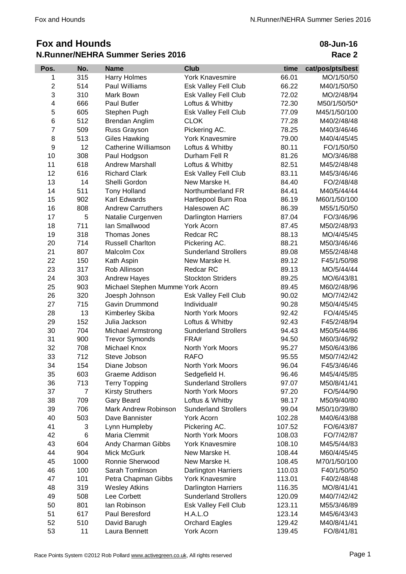## **Fox and Hounds N.Runner/NEHRA Summer Series 2016**

| Pos.                    | No.  | <b>Name</b>                      | <b>Club</b>                 | time   | cat/pos/pts/best |
|-------------------------|------|----------------------------------|-----------------------------|--------|------------------|
| 1                       | 315  | Harry Holmes                     | <b>York Knavesmire</b>      | 66.01  | MO/1/50/50       |
| $\mathbf 2$             | 514  | Paul Williams                    | Esk Valley Fell Club        | 66.22  | M40/1/50/50      |
| 3                       | 310  | Mark Bown                        | Esk Valley Fell Club        | 72.02  | MO/2/48/94       |
| $\overline{\mathbf{4}}$ | 666  | Paul Butler                      | Loftus & Whitby             | 72.30  | M50/1/50/50*     |
| 5                       | 605  | Stephen Pugh                     | Esk Valley Fell Club        | 77.09  | M45/1/50/100     |
| 6                       | 512  | Brendan Anglim                   | <b>CLOK</b>                 | 77.28  | M40/2/48/48      |
| $\overline{7}$          | 509  | Russ Grayson                     | Pickering AC.               | 78.25  | M40/3/46/46      |
| 8                       | 513  | <b>Giles Hawking</b>             | <b>York Knavesmire</b>      | 79.00  | M40/4/45/45      |
| 9                       | 12   | Catherine Williamson             | Loftus & Whitby             | 80.11  | FO/1/50/50       |
| 10                      | 308  | Paul Hodgson                     | Durham Fell R               | 81.26  | MO/3/46/88       |
| 11                      | 618  | <b>Andrew Marshall</b>           | Loftus & Whitby             | 82.51  | M45/2/48/48      |
| 12                      | 616  | <b>Richard Clark</b>             | Esk Valley Fell Club        | 83.11  | M45/3/46/46      |
| 13                      | 14   | Shelli Gordon                    | New Marske H.               | 84.40  | FO/2/48/48       |
| 14                      | 511  | <b>Tony Holland</b>              | Northumberland FR           | 84.41  | M40/5/44/44      |
| 15                      | 902  | Karl Edwards                     | Hartlepool Burn Roa         | 86.19  | M60/1/50/100     |
| 16                      | 808  | <b>Andrew Carruthers</b>         | Halesowen AC                | 86.39  | M55/1/50/50      |
| 17                      | 5    | Natalie Curgenven                | <b>Darlington Harriers</b>  | 87.04  | FO/3/46/96       |
| 18                      | 711  | lan Smallwood                    | York Acorn                  | 87.45  | M50/2/48/93      |
| 19                      | 318  | Thomas Jones                     | Redcar RC                   | 88.13  | MO/4/45/45       |
| 20                      | 714  | <b>Russell Charlton</b>          | Pickering AC.               | 88.21  | M50/3/46/46      |
| 21                      | 807  | Malcolm Cox                      | <b>Sunderland Strollers</b> | 89.08  | M55/2/48/48      |
| 22                      | 150  | Kath Aspin                       | New Marske H.               | 89.12  | F45/1/50/98      |
| 23                      | 317  | Rob Allinson                     | Redcar RC                   | 89.13  | MO/5/44/44       |
| 24                      | 303  | <b>Andrew Hayes</b>              | <b>Stockton Striders</b>    | 89.25  | MO/6/43/81       |
| 25                      | 903  | Michael Stephen Mumme York Acorn |                             | 89.45  | M60/2/48/96      |
| 26                      | 320  | Joesph Johnson                   | Esk Valley Fell Club        | 90.02  | MO/7/42/42       |
| 27                      | 715  | Gavin Drummond                   | Individual#                 | 90.28  | M50/4/45/45      |
| 28                      | 13   | Kimberley Skiba                  | North York Moors            | 92.42  | FO/4/45/45       |
| 29                      | 152  | Julia Jackson                    | Loftus & Whitby             | 92.43  | F45/2/48/94      |
| 30                      | 704  | Michael Armstrong                | <b>Sunderland Strollers</b> | 94.43  | M50/5/44/86      |
| 31                      | 900  | <b>Trevor Symonds</b>            | FRA#                        | 94.50  | M60/3/46/92      |
| 32                      | 708  | Michael Knox                     | North York Moors            | 95.27  | M50/6/43/86      |
| 33                      | 712  | Steve Jobson                     | <b>RAFO</b>                 | 95.55  | M50/7/42/42      |
| 34                      | 154  | Diane Jobson                     | <b>North York Moors</b>     | 96.04  | F45/3/46/46      |
| 35                      | 603  | Graeme Addison                   | Sedgefield H.               | 96.46  | M45/4/45/85      |
| 36                      | 713  | <b>Terry Topping</b>             | <b>Sunderland Strollers</b> | 97.07  | M50/8/41/41      |
| 37                      | 7    | <b>Kirsty Struthers</b>          | North York Moors            | 97.20  | FO/5/44/90       |
| 38                      | 709  | Gary Beard                       | Loftus & Whitby             | 98.17  | M50/9/40/80      |
| 39                      | 706  | Mark Andrew Robinson             | <b>Sunderland Strollers</b> | 99.04  | M50/10/39/80     |
| 40                      | 503  | Dave Bannister                   | York Acorn                  | 102.28 | M40/6/43/88      |
| 41                      | 3    | Lynn Humpleby                    | Pickering AC.               | 107.52 | FO/6/43/87       |
| 42                      | 6    | Maria Clemmit                    | North York Moors            | 108.03 | FO/7/42/87       |
| 43                      | 604  | Andy Charman Gibbs               | <b>York Knavesmire</b>      | 108.10 | M45/5/44/83      |
| 44                      | 904  | Mick McGurk                      | New Marske H.               | 108.44 | M60/4/45/45      |
| 45                      | 1000 | Ronnie Sherwood                  | New Marske H.               | 108.45 | M70/1/50/100     |
| 46                      | 100  | Sarah Tomlinson                  | <b>Darlington Harriers</b>  | 110.03 | F40/1/50/50      |
| 47                      | 101  | Petra Chapman Gibbs              | <b>York Knavesmire</b>      | 113.01 | F40/2/48/48      |
| 48                      | 319  | <b>Wesley Atkins</b>             | <b>Darlington Harriers</b>  | 116.35 | MO/8/41/41       |
| 49                      | 508  | Lee Corbett                      | <b>Sunderland Strollers</b> | 120.09 | M40/7/42/42      |
| 50                      | 801  | lan Robinson                     | Esk Valley Fell Club        | 123.11 | M55/3/46/89      |
| 51                      | 617  | Paul Beresford                   | H.A.L.O                     | 123.14 | M45/6/43/43      |
| 52                      | 510  | David Barugh                     | <b>Orchard Eagles</b>       | 129.42 | M40/8/41/41      |
| 53                      | 11   | Laura Bennett                    | York Acorn                  | 139.45 | FO/8/41/81       |